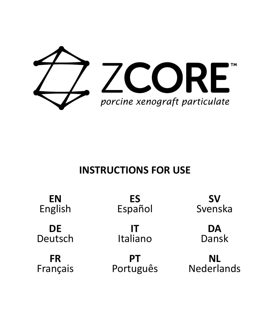

# **INSTRUCTIONS FOR USE**

| ΕN       | ES        | sv         |
|----------|-----------|------------|
| English  | Español   | Svenska    |
| DE       | IΤ        | DA         |
| Deutsch  | Italiano  | Dansk      |
| FR       | PТ        | NL         |
| Français | Português | Nederlands |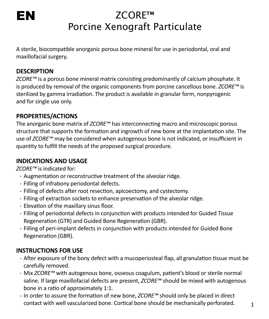# EN

# ZCORE™ Porcine Xenograft Particulate

A sterile, biocompatible anorganic porous bone mineral for use in periodontal, oral and maxillofacial surgery.

# **DESCRIPTION**

*ZCORE™* is a porous bone mineral matrix consisting predominantly of calcium phosphate. It is produced by removal of the organic components from porcine cancellous bone. *ZCORE™* is sterilized by gamma irradiation. The product is available in granular form, nonpyrogenic and for single use only.

# **PROPERTIES/ACTIONS**

The anorganic bone matrix of *ZCORE™* has interconnecting macro and microscopic porous structure that supports the formation and ingrowth of new bone at the implantation site. The use of *ZCORE™* may be considered when autogenous bone is not indicated, or insufficient in quantity to fulfill the needs of the proposed surgical procedure.

# **INDICATIONS AND USAGE**

*ZCORE™* is indicated for:

- Augmentation or reconstructive treatment of the alveolar ridge.
- Filling of infrabony periodontal defects.
- Filling of defects after root resection, apicoectomy, and cystectomy.
- Filling of extraction sockets to enhance preservation of the alveolar ridge.
- Elevation of the maxillary sinus floor.
- Filling of periodontal defects in conjunction with products intended for Guided Tissue Regeneration (GTR) and Guided Bone Regeneration (GBR).
- Filling of peri-implant defects in conjunction with products intended for Guided Bone Regeneration (GBR).

# **INSTRUCTIONS FOR USE**

- After exposure of the bony defect with a mucoperiosteal flap, all granulation tissue must be carefully removed.
- Mix *ZCORE™* with autogenous bone, osseous coagulum, patient's blood or sterile normal saline. If large maxillofacial defects are present, *ZCORE™* should be mixed with autogenous bone in a ratio of approximately 1:1.
- In order to assure the formation of new bone, *ZCORE™* should only be placed in direct contact with well vascularized bone. Cortical bone should be mechanically perforated.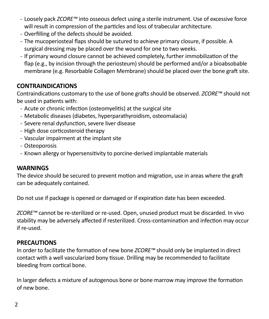- Loosely pack *ZCORE™* into osseous defect using a sterile instrument. Use of excessive force will result in compression of the particles and loss of trabecular architecture.
- Overfilling of the defects should be avoided.
- The mucoperiosteal flaps should be sutured to achieve primary closure, if possible. A surgical dressing may be placed over the wound for one to two weeks.
- If primary wound closure cannot be achieved completely, further immobilization of the flap (e.g., by incision through the periosteum) should be performed and/or a bioabsobable membrane (e.g. Resorbable Collagen Membrane) should be placed over the bone graft site.

# **CONTRAINDICATIONS**

Contraindications customary to the use of bone grafts should be observed. *ZCORE™* should not be used in patients with:

- Acute or chronic infection (osteomyelitis) at the surgical site
- Metabolic diseases (diabetes, hyperparathyroidism, osteomalacia)
- Severe renal dysfunction, severe liver disease
- High dose corticosteroid therapy
- Vascular impairment at the implant site
- Osteoporosis
- Known allergy or hypersensitivity to porcine-derived implantable materials

#### **WARNINGS**

The device should be secured to prevent motion and migration, use in areas where the graft can be adequately contained.

Do not use if package is opened or damaged or if expiration date has been exceeded.

*ZCORE™* cannot be re-sterilized or re-used. Open, unused product must be discarded. In vivo stability may be adversely affected if resterilized. Cross-contamination and infection may occur if re-used.

#### **PRECAUTIONS**

In order to facilitate the formation of new bone *ZCORE™* should only be implanted in direct contact with a well vascularized bony tissue. Drilling may be recommended to facilitate bleeding from cortical bone.

In larger defects a mixture of autogenous bone or bone marrow may improve the formation of new bone.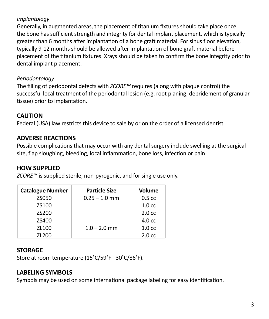#### *Implantology*

Generally, in augmented areas, the placement of titanium fixtures should take place once the bone has sufficient strength and integrity for dental implant placement, which is typically greater than 6 months after implantation of a bone graft material. For sinus floor elevation, typically 9-12 months should be allowed after implantation of bone graft material before placement of the titanium fixtures. Xrays should be taken to confirm the bone integrity prior to dental implant placement.

#### *Periodontology*

The filling of periodontal defects with *ZCORE™* requires (along with plaque control) the successful local treatment of the periodontal lesion (e.g. root planing, debridement of granular tissue) prior to implantation.

# **CAUTION**

Federal (USA) law restricts this device to sale by or on the order of a licensed dentist.

# **ADVERSE REACTIONS**

Possible complications that may occur with any dental surgery include swelling at the surgical site, flap sloughing, bleeding, local inflammation, bone loss, infection or pain.

# **HOW SUPPLIED**

| ZCORE™ is supplied sterile, non-pyrogenic, and for single use only. |  |  |
|---------------------------------------------------------------------|--|--|
|                                                                     |  |  |

| <b>Catalogue Number</b> | <b>Particle Size</b> | Volume            |
|-------------------------|----------------------|-------------------|
| <b>7S050</b>            | $0.25 - 1.0$ mm      | 0.5 <sub>cc</sub> |
| 75100                   |                      | 1.0 <sub>cc</sub> |
| 75200                   |                      | 2.0 c             |
| ZS400                   |                      | 4.0 cc            |
| 71100                   | $1.0 - 2.0$ mm       | 1.0 <sub>cc</sub> |
| ZL200                   |                      | 2.0 <sub>cc</sub> |

# **STORAGE**

Store at room temperature (15˚C/59˚F - 30˚C/86˚F).

# **LABELING SYMBOLS**

Symbols may be used on some international package labeling for easy identification.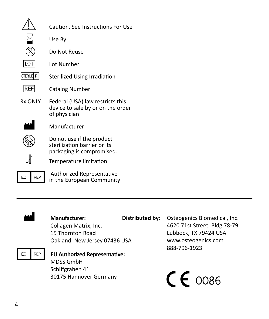|            | Caution. See Instructions For Use                                                      |
|------------|----------------------------------------------------------------------------------------|
|            | Use By                                                                                 |
|            | Do Not Reuse                                                                           |
| LOT        | Lot Number                                                                             |
| STERILE R  | Sterilized Using Irradiation                                                           |
| <b>REF</b> | <b>Catalog Number</b>                                                                  |
| Rx ONIY    | Federal (USA) law restricts this<br>device to sale by or on the order<br>of physician  |
|            | Manufacturer                                                                           |
|            | Do not use if the product<br>sterilization barrier or its<br>packaging is compromised. |
|            | Temperature limitation                                                                 |
| RFP<br>EC  | Authorized Representative<br>in the European Community                                 |



#### M **Manufacturer:** Collagen Matrix, Inc. 15 Thornton Road

**Distributed by:** Osteogenics Biomedical, Inc. 4620 71st Street, Bldg 78-79 Lubbock, TX 79424 USA www.osteogenics.com 888-796-1923

# Oakland, New Jersey 07436 USA P**EU Authorized Representative:** MDSS GmbH Schiffgraben 41 30175 Hannover Germany

 $C\epsilon$  0086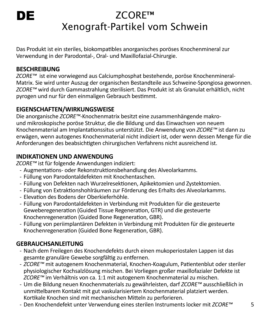# DE

# ZCORE™ Xenograft-Partikel vom Schwein

Das Produkt ist ein steriles, biokompatibles anorganisches poröses Knochenmineral zur Verwendung in der Parodontal-, Oral- und Maxillofazial-Chirurgie.

# **BESCHREIBUNG**

*ZCORE™* ist eine vorwiegend aus Calciumphosphat bestehende, poröse Knochenmineral-Matrix. Sie wird unter Auszug der organischen Bestandteile aus Schweine-Spongiosa gewonnen. *ZCORE™* wird durch Gammastrahlung sterilisiert. Das Produkt ist als Granulat erhältlich, nicht pyrogen und nur für den einmaligen Gebrauch bestimmt.

# **EIGENSCHAFTEN/WIRKUNGSWEISE**

Die anorganische *ZCORE™*-Knochenmatrix besitzt eine zusammenhängende makround mikroskopische poröse Struktur, die die Bildung und das Einwachsen von neuem Knochenmaterial am Implantationssitus unterstützt. Die Anwendung von *ZCORE™* ist dann zu erwägen, wenn autogenes Knochenmaterial nicht indiziert ist, oder wenn dessen Menge für die Anforderungen des beabsichtigten chirurgischen Verfahrens nicht ausreichend ist.

# **INDIKATIONEN UND ANWENDUNG**

*ZCORE™* ist für folgende Anwendungen indiziert:

- Augmentations- oder Rekonstruktionsbehandlung des Alveolarkamms.
- Füllung von Parodontaldefekten mit Knochentaschen.
- Füllung von Defekten nach Wurzelresektionen, Apikektomien und Zystektomien.
- Füllung von Extraktionshohlräumen zur Förderung des Erhalts des Alveolarkamms.
- Elevation des Bodens der Oberkieferhöhle.
- Füllung von Parodontaldefekten in Verbindung mit Produkten für die gesteuerte Geweberegeneration (Guided Tissue Regeneration, GTR) und die gesteuerte Knochenregeneration (Guided Bone Regeneration, GBR).
- Füllung von periimplantären Defekten in Verbindung mit Produkten für die gesteuerte Knochenregeneration (Guided Bone Regeneration, GBR).

# **GEBRAUCHSANLEITUNG**

- Nach dem Freilegen des Knochendefekts durch einen mukoperiostalen Lappen ist das gesamte granuläre Gewebe sorgfältig zu entfernen.
- *ZCORE™* mit autogenem Knochenmaterial, Knochen-Koagulum, Patientenblut oder steriler physiologischer Kochsalzlösung mischen. Bei Vorliegen großer maxillofazialer Defekte ist *ZCORE™* im Verhältnis von ca. 1:1 mit autogenem Knochenmaterial zu mischen.
- Um die Bildung neuen Knochenmaterials zu gewährleisten, darf *ZCORE™* ausschließlich in unmittelbarem Kontakt mit gut vaskularisiertem Knochenmaterial platziert werden. Kortikale Knochen sind mit mechanischen Mitteln zu perforieren.
- Den Knochendefekt unter Verwendung eines sterilen Instruments locker mit *ZCORE™*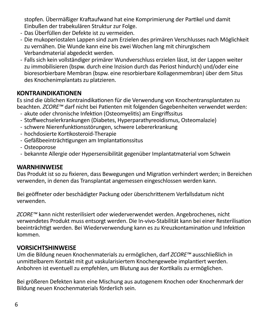stopfen. Übermäßiger Kraftaufwand hat eine Komprimierung der Partikel und damit Einbußen der trabekulären Struktur zur Folge.

- Das Überfüllen der Defekte ist zu vermeiden.
- Die mukoperiostalen Lappen sind zum Erzielen des primären Verschlusses nach Möglichkeit zu vernähen. Die Wunde kann eine bis zwei Wochen lang mit chirurgischem Verbandmaterial abgedeckt werden.
- Falls sich kein vollständiger primärer Wundverschluss erzielen lässt, ist der Lappen weiter zu immobilisieren (bspw. durch eine Inzision durch das Periost hindurch) und/oder eine bioresorbierbare Membran (bspw. eine resorbierbare Kollagenmembran) über dem Situs des Knochenimplantats zu platzieren.

#### **KONTRAINDIKATIONEN**

Es sind die üblichen Kontraindikationen für die Verwendung von Knochentransplantaten zu beachten. *ZCORE™* darf nicht bei Patienten mit folgenden Gegebenheiten verwendet werden:

- akute oder chronische Infektion (Osteomyelitis) am Eingriffssitus
- Stoffwechselerkrankungen (Diabetes, Hyperparathyreoidismus, Osteomalazie)
- schwere Nierenfunktionsstörungen, schwere Lebererkrankung
- hochdosierte Kortikosteroid-Therapie
- Gefäßbeeinträchtigungen am Implantationssitus
- Osteoporose
- bekannte Allergie oder Hypersensibilität gegenüber Implantatmaterial vom Schwein

#### **WARNHINWEISE**

Das Produkt ist so zu fixieren, dass Bewegungen und Migration verhindert werden; in Bereichen verwenden, in denen das Transplantat angemessen eingeschlossen werden kann.

Bei geöffneter oder beschädigter Packung oder überschrittenem Verfallsdatum nicht verwenden.

*ZCORE™* kann nicht resterilisiert oder wiederverwendet werden. Angebrochenes, nicht verwendetes Produkt muss entsorgt werden. Die In-vivo-Stabilität kann bei einer Resterilisation beeinträchtigt werden. Bei Wiederverwendung kann es zu Kreuzkontamination und Infektion kommen.

#### **VORSICHTSHINWEISE**

Um die Bildung neuen Knochenmaterials zu ermöglichen, darf *ZCORE™* ausschließlich in unmittelbarem Kontakt mit gut vaskularisiertem Knochengewebe implantiert werden. Anbohren ist eventuell zu empfehlen, um Blutung aus der Kortikalis zu ermöglichen.

Bei größeren Defekten kann eine Mischung aus autogenem Knochen oder Knochenmark der Bildung neuen Knochenmaterials förderlich sein.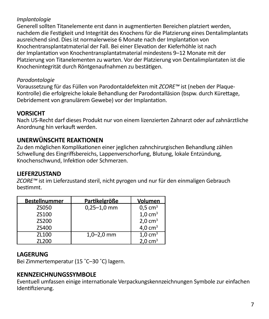#### *Implantologie*

Generell sollten Titanelemente erst dann in augmentierten Bereichen platziert werden, nachdem die Festigkeit und Integrität des Knochens für die Platzierung eines Dentalimplantats ausreichend sind. Dies ist normalerweise 6 Monate nach der Implantation von Knochentransplantatmaterial der Fall. Bei einer Elevation der Kieferhöhle ist nach der Implantation von Knochentransplantatmaterial mindestens 9–12 Monate mit der Platzierung von Titanelementen zu warten. Vor der Platzierung von Dentalimplantaten ist die Knochenintegrität durch Röntgenaufnahmen zu bestätigen.

#### *Parodontologie*

Voraussetzung für das Füllen von Parodontaldefekten mit *ZCORE™* ist (neben der Plaque-Kontrolle) die erfolgreiche lokale Behandlung der Parodontalläsion (bspw. durch Kürettage, Debridement von granulärem Gewebe) vor der Implantation.

#### **VORSICHT**

Nach US-Recht darf dieses Produkt nur von einem lizenzierten Zahnarzt oder auf zahnärztliche Anordnung hin verkauft werden.

# **UNERWÜNSCHTE REAKTIONEN**

Zu den möglichen Komplikationen einer jeglichen zahnchirurgischen Behandlung zählen Schwellung des Eingriffsbereichs, Lappenverschorfung, Blutung, lokale Entzündung, Knochenschwund, Infektion oder Schmerzen.

#### **LIEFERZUSTAND**

*ZCORE™* ist im Lieferzustand steril, nicht pyrogen und nur für den einmaligen Gebrauch bestimmt.

| <b>Bestellnummer</b> | Partikelgröße   | Volumen               |
|----------------------|-----------------|-----------------------|
| <b>7S050</b>         | $0,25 - 1,0$ mm | $0.5$ cm <sup>3</sup> |
| 75100                |                 | $1.0 \text{ cm}^3$    |
| 75200                |                 | $2.0 \text{ cm}^3$    |
| <b>7S400</b>         |                 | $4.0 \text{ cm}^3$    |
| 71100                | $1.0 - 2.0$ mm  | $1.0 \text{ cm}^3$    |
| ZL200                |                 | $2.0 \text{ cm}^3$    |

# **LAGERUNG**

Bei Zimmertemperatur (15 ˚C–30 ˚C) lagern.

# **KENNZEICHNUNGSSYMBOLE**

Eventuell umfassen einige internationale Verpackungskennzeichnungen Symbole zur einfachen Identifizierung.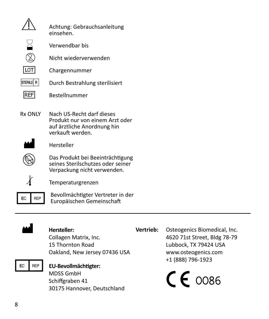|            | Achtung: Gebrauchsanleitung<br>einsehen.                                                                        |
|------------|-----------------------------------------------------------------------------------------------------------------|
|            | Verwendbar bis                                                                                                  |
|            | Nicht wiederverwenden                                                                                           |
| <b>LOT</b> | Chargennummer                                                                                                   |
| STERILE R  | Durch Bestrahlung sterilisiert                                                                                  |
| <b>REF</b> | <b>Bestellnummer</b>                                                                                            |
| Rx ONIY    | Nach US-Recht darf dieses<br>Produkt nur von einem Arzt oder<br>auf ärztliche Anordnung hin<br>verkauft werden. |
|            | Horetollor                                                                                                      |



**Hersteller** 

L Das Produkt bei Beeinträchtigung seines Sterilschutzes oder seiner Verpackung nicht verwenden.



 $\chi$  Temperaturgrenzen



EC REP Bevollmächtigter Vertreter in der Europäischen Gemeinschaft



#### M **Hersteller:**

Collagen Matrix, Inc. 15 Thornton Road Oakland, New Jersey 07436 USA

### P**EU-Bevollmächtigter:**

MDSS GmbH Schiffgraben 41 30175 Hannover, Deutschland  **Vertrieb:** Osteogenics Biomedical, Inc. 4620 71st Street, Bldg 78-79 Lubbock, TX 79424 USA www.osteogenics.com +1 (888) 796-1923

 $C\epsilon$  0086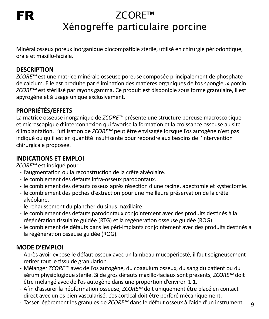# ZCORE™ Xénogreffe particulaire porcine

Minéral osseux poreux inorganique biocompatible stérile, utilisé en chirurgie périodontique, orale et maxillo-faciale.

#### **DESCRIPTION**

*ZCORE™* est une matrice minérale osseuse poreuse composée principalement de phosphate de calcium. Elle est produite par élimination des matières organiques de l'os spongieux porcin. *ZCORE™* est stérilisé par rayons gamma. Ce produit est disponible sous forme granulaire, il est apyrogène et à usage unique exclusivement.

# **PROPRIÉTÉS/EFFETS**

La matrice osseuse inorganique de *ZCORE™* présente une structure poreuse macroscopique et microscopique d'interconnexion qui favorise la formation et la croissance osseuse au site d'implantation. L'utilisation de *ZCORE™* peut être envisagée lorsque l'os autogène n'est pas indiqué ou qu'il est en quantité insuffisante pour répondre aux besoins de l'intervention chirurgicale proposée.

#### **INDICATIONS ET EMPLOI**

*ZCORE™* est indiqué pour :

- l'augmentation ou la reconstruction de la crête alvéolaire.
- le comblement des défauts infra-osseux parodontaux.
- le comblement des défauts osseux après résection d'une racine, apectomie et kystectomie.
- le comblement des poches d'extraction pour une meilleure préservation de la crête alvéolaire.
- le rehaussement du plancher du sinus maxillaire.
- le comblement des défauts parodontaux conjointement avec des produits destinés à la régénération tissulaire guidée (RTG) et la régénération osseuse guidée (ROG).
- le comblement de défauts dans les péri-implants conjointement avec des produits destinés à la régénération osseuse guidée (ROG).

# **MODE D'EMPLOI**

- Après avoir exposé le défaut osseux avec un lambeau mucopériosté, il faut soigneusement retirer tout le tissu de granulation.
- Mélanger *ZCORE™* avec de l'os autogène, du coagulum osseux, du sang du patient ou du sérum physiologique stérile. Si de gros défauts maxillo-faciaux sont présents, *ZCORE™* doit être mélangé avec de l'os autogène dans une proportion d'environ 1:1.
- Afin d'assurer la néoformation osseuse, *ZCORE™* doit uniquement être placé en contact direct avec un os bien vascularisé. L'os cortical doit être perforé mécaniquement.
- Tasser légèrement les granules de *ZCORE™* dans le défaut osseux à l'aide d'un instrument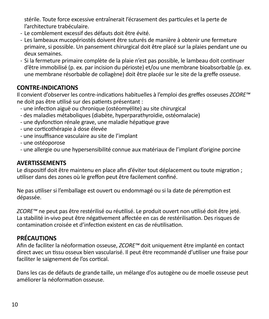stérile. Toute force excessive entraînerait l'écrasement des particules et la perte de l'architecture trabéculaire.

- Le comblement excessif des défauts doit être évité.
- Les lambeaux mucopériostés doivent être suturés de manière à obtenir une fermeture primaire, si possible. Un pansement chirurgical doit être placé sur la plaies pendant une ou deux semaines.
- Si la fermeture primaire complète de la plaie n'est pas possible, le lambeau doit continuer d'être immobilisé (p. ex. par incision du périoste) et/ou une membrane bioabsorbable (p. ex. une membrane résorbable de collagène) doit être placée sur le site de la greffe osseuse.

# **CONTRE-INDICATIONS**

Il convient d'observer les contre-indications habituelles à l'emploi des greffes osseuses *ZCORE™* ne doit pas être utilisé sur des patients présentant :

- une infection aiguë ou chronique (ostéomyélite) au site chirurgical
- des maladies métaboliques (diabète, hyperparathyroïdie, ostéomalacie)
- une dysfonction rénale grave, une maladie hépatique grave
- une corticothérapie à dose élevée
- une insuffisance vasculaire au site de l'implant
- une ostéoporose
- une allergie ou une hypersensibilité connue aux matériaux de l'implant d'origine porcine

#### **AVERTISSEMENTS**

Le dispositif doit être maintenu en place afin d'éviter tout déplacement ou toute migration ; utiliser dans des zones où le greffon peut être facilement confiné.

Ne pas utiliser si l'emballage est ouvert ou endommagé ou si la date de péremption est dépassée.

*ZCORE™* ne peut pas être restérilisé ou réutilisé. Le produit ouvert non utilisé doit être jeté. La stabilité in-vivo peut être négativement affectée en cas de restérilisation. Des risques de contamination croisée et d'infection existent en cas de réutilisation.

# **PRÉCAUTIONS**

Afin de faciliter la néoformation osseuse, *ZCORE™* doit uniquement être implanté en contact direct avec un tissu osseux bien vascularisé. Il peut être recommandé d'utiliser une fraise pour faciliter le saignement de l'os cortical.

Dans les cas de défauts de grande taille, un mélange d'os autogène ou de moelle osseuse peut améliorer la néoformation osseuse.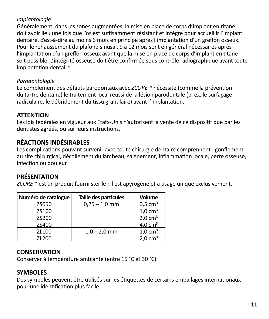#### *Implantologie*

Généralement, dans les zones augmentées, la mise en place de corps d'implant en titane doit avoir lieu une fois que l'os est suffisamment résistant et intègre pour accueillir l'implant dentaire, c'est-à-dire au moins 6 mois en principe après l'implantation d'un greffon osseux. Pour le rehaussement du plafond sinusal, 9 à 12 mois sont en général nécessaires après l'implantation d'un greffon osseux avant que la mise en place de corps d'implant en titane soit possible. L'intégrité osseuse doit être confirmée sous contrôle radiographique avant toute implantation dentaire.

#### *Parodontologie*

Le comblement des défauts parodontaux avec *ZCORE™* nécessite (comme la prévention du tartre dentaire) le traitement local réussi de la lésion parodontale (p. ex. le surfaçage radiculaire, le débridement du tissu granulaire) avant l'implantation.

#### **ATTENTION**

Les lois fédérales en vigueur aux États-Unis n'autorisent la vente de ce dispositif que par les dentistes agréés, ou sur leurs instructions.

# **RÉACTIONS INDÉSIRABLES**

Les complications pouvant survenir avec toute chirurgie dentaire comprennent : gonflement au site chirurgical, décollement du lambeau, saignement, inflammation locale, perte osseuse, infection ou douleur.

# **PRÉSENTATION**

*ZCORE™* est un produit fourni stérile ; il est apyrogène et à usage unique exclusivement.

| Numéro de catalogue | <b>Taille des particules</b> | Volume                |
|---------------------|------------------------------|-----------------------|
| <b>7S050</b>        | $0.25 - 1.0$ mm              | $0.5$ cm <sup>3</sup> |
| 75100               |                              | $1.0 \text{ cm}^3$    |
| 75200               |                              | $2.0 \text{ cm}^3$    |
| ZS400               |                              | $4.0 \text{ cm}^3$    |
| 71100               | $1.0 - 2.0$ mm               | $1.0 \text{ cm}^3$    |
| 71200               |                              | $2.0 \text{ cm}^3$    |

#### **CONSERVATION**

Conserver à température ambiante (entre 15 ˚C et 30 ˚C).

#### **SYMBOLES**

Des symboles peuvent être utilisés sur les étiquettes de certains emballages internationaux pour une identification plus facile.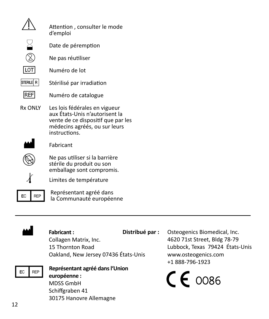|            | Attention, consulter le mode<br>d'emploi                                                                                                                |
|------------|---------------------------------------------------------------------------------------------------------------------------------------------------------|
|            | Date de péremption                                                                                                                                      |
|            | Ne pas réutiliser                                                                                                                                       |
| <b>IOT</b> | Numéro de lot                                                                                                                                           |
| STERILE R  | Stérilisé par irradiation                                                                                                                               |
| REF        | Numéro de catalogue                                                                                                                                     |
| Rx ONIY    | Les lois fédérales en vigueur<br>aux États-Unis n'autorisent la<br>vente de ce dispositif que par les<br>médecins agréés, ou sur leurs<br>instructions. |
|            | Fabricant                                                                                                                                               |
|            | Ne pas utiliser si la barrière<br>stérile du produit ou son<br>emballage sont compromis.                                                                |
|            | Limites de température                                                                                                                                  |
| FC.<br>RFP | Représentant agréé dans<br>la Communauté européenne                                                                                                     |



#### Fabricant:

Collagen Matrix, Inc. 15 Thornton Road Oakland, New Jersey 07436 États-Unis

**Distribué par :**  Osteogenics Biomedical, Inc. 4620 71st Street, Bldg 78-79 Lubbock, Texas 79424 États-Unis www.osteogenics.com +1 888-796-1923

 $C\epsilon$  0086



# P**Représentant agréé dansl'Union européenne :** MDSS GmbH Schiffgraben 41

30175 Hanovre Allemagne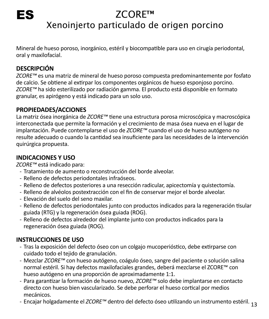# ZCORE™ Xenoinjerto particulado de origen porcino

Mineral de hueso poroso, inorgánico, estéril y biocompatible para uso en cirugía periodontal, oral y maxilofacial.

# **DESCRIPCIÓN**

ES

*ZCORE™* es una matriz de mineral de hueso poroso compuesta predominantemente por fosfato de calcio. Se obtiene al extirpar los componentes orgánicos de hueso esponjoso porcino. *ZCORE™* ha sido esterilizado por radiación gamma. El producto está disponible en formato granular, es apirógeno y está indicado para un solo uso.

# **PROPIEDADES/ACCIONES**

La matriz ósea inorgánica de *ZCORE™* tiene una estructura porosa microscópica y macroscópica interconectada que permite la formación y el crecimiento de masa ósea nueva en el lugar de implantación. Puede contemplarse el uso de *ZCORE™* cuando el uso de hueso autógeno no resulte adecuado o cuando la cantidad sea insuficiente para las necesidades de la intervención quirúrgica propuesta.

# **INDICACIONES Y USO**

*ZCORE™* está indicado para:

- Tratamiento de aumento o reconstrucción del borde alveolar.
- Relleno de defectos periodontales infraóseos.
- Relleno de defectos posteriores a una resección radicular, apicectomía y quistectomía.
- Relleno de alvéolos postextracción con el fin de conservar mejor el borde alveolar.
- Elevación del suelo del seno maxilar.
- Relleno de defectos periodontales junto con productos indicados para la regeneración tisular guiada (RTG) y la regeneración ósea guiada (ROG).
- Relleno de defectos alrededor del implante junto con productos indicados para la regeneración ósea guiada (ROG).

# **INSTRUCCIONES DE USO**

- Tras la exposición del defecto óseo con un colgajo mucoperióstico, debe extirparse con cuidado todo el tejido de granulación.
- Mezclar *ZCORE™* con hueso autógeno, coágulo óseo, sangre del paciente o solución salina normal estéril. Si hay defectos maxilofaciales grandes, deberá mezclarse el ZCORE™ con hueso autógeno en una proporción de aproximadamente 1:1.
- Para garantizar la formación de hueso nuevo, *ZCORE™* solo debe implantarse en contacto directo con hueso bien vascularizado. Se debe perforar el hueso cortical por medios mecánicos.
- Encajar holgadamente el *ZCORE™* dentro del defecto óseo utilizando un instrumento estéril. <sub>13</sub>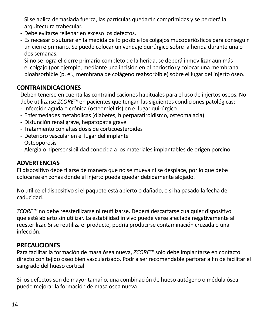Si se aplica demasiada fuerza, las partículas quedarán comprimidas y se perderá la arquitectura trabecular.

- Debe evitarse rellenar en exceso los defectos.
- Es necesario suturar en la medida de lo posible los colgajos mucoperiósticos para conseguir un cierre primario. Se puede colocar un vendaje quirúrgico sobre la herida durante una o dos semanas.
- Si no se logra el cierre primario completo de la herida, se deberá inmovilizar aún más el colgajo (por ejemplo, mediante una incisión en el periostio) y colocar una membrana bioabsorbible (p. ej., membrana de colágeno reabsorbible) sobre el lugar del injerto óseo.

#### **CONTRAINDICACIONES**

Deben tenerse en cuenta las contraindicaciones habituales para el uso de injertos óseos. No debe utilizarse *ZCORE™* en pacientes que tengan las siguientes condiciones patológicas:

- Infección aguda o crónica (osteomielitis) en el lugar quirúrgico
- Enfermedades metabólicas (diabetes, hiperparatiroidismo, osteomalacia)
- Disfunción renal grave, hepatopatía grave
- Tratamiento con altas dosis de corticoesteroides
- Deterioro vascular en el lugar del implante
- Osteoporosis
- Alergia o hipersensibilidad conocida a los materiales implantables de origen porcino

#### **ADVERTENCIAS**

El dispositivo debe fijarse de manera que no se mueva ni se desplace, por lo que debe colocarse en zonas donde el injerto pueda quedar debidamente alojado.

No utilice el dispositivo si el paquete está abierto o dañado, o si ha pasado la fecha de caducidad.

*ZCORE™* no debe reesterilizarse ni reutilizarse. Deberá descartarse cualquier dispositivo que esté abierto sin utilizar. La estabilidad in vivo puede verse afectada negativamente al reesterilizar. Si se reutiliza el producto, podría producirse contaminación cruzada o una infección.

# **PRECAUCIONES**

Para facilitar la formación de masa ósea nueva, *ZCORE™* solo debe implantarse en contacto directo con tejido óseo bien vascularizado. Podría ser recomendable perforar a fin de facilitar el sangrado del hueso cortical.

Si los defectos son de mayor tamaño, una combinación de hueso autógeno o médula ósea puede mejorar la formación de masa ósea nueva.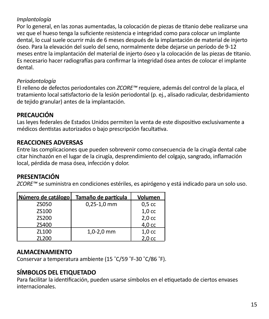#### *Implantología*

Por lo general, en las zonas aumentadas, la colocación de piezas de titanio debe realizarse una vez que el hueso tenga la suficiente resistencia e integridad como para colocar un implante dental, lo cual suele ocurrir más de 6 meses después de la implantación de material de injerto óseo. Para la elevación del suelo del seno, normalmente debe dejarse un período de 9-12 meses entre la implantación del material de injerto óseo y la colocación de las piezas de titanio. Es necesario hacer radiografías para confirmar la integridad ósea antes de colocar el implante dental.

#### *Periodontología*

El relleno de defectos periodontales con *ZCORE™* requiere, además del control de la placa, el tratamiento local satisfactorio de la lesión periodontal (p. ej., alisado radicular, desbridamiento de tejido granular) antes de la implantación.

# **PRECAUCIÓN**

Las leyes federales de Estados Unidos permiten la venta de este dispositivo exclusivamente a médicos dentistas autorizados o bajo prescripción facultativa.

# **REACCIONES ADVERSAS**

Entre las complicaciones que pueden sobrevenir como consecuencia de la cirugía dental cabe citar hinchazón en el lugar de la cirugía, desprendimiento del colgajo, sangrado, inflamación local, pérdida de masa ósea, infección y dolor.

# **PRESENTACIÓN**

*ZCORE™* se suministra en condiciones estériles, es apirógeno y está indicado para un solo uso.

| Número de catálogo | Tamaño de partícula | Volumen           |
|--------------------|---------------------|-------------------|
| <b>7S050</b>       | $0.25 - 1.0$ mm     | 0.5 <sub>cc</sub> |
| 75100              |                     | 1.0 <sub>cc</sub> |
| 75200              |                     | 2.0 <sub>cc</sub> |
| ZS400              |                     | 4.0 cc            |
| 71100              | $1.0 - 2.0$ mm      | 1.0 <sub>cc</sub> |
| ZL200              |                     | 2.0 <sub>cc</sub> |

#### **ALMACENAMIENTO**

Conservar a temperatura ambiente (15 ˚C/59 ˚F-30 ˚C/86 ˚F).

# **SÍMBOLOS DEL ETIQUETADO**

Para facilitar la identificación, pueden usarse símbolos en el etiquetado de ciertos envases internacionales.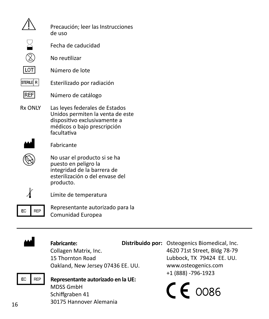|                | Precaución: leer las Instrucciones<br>de uso                                                                                                     |
|----------------|--------------------------------------------------------------------------------------------------------------------------------------------------|
|                | Fecha de caducidad                                                                                                                               |
|                | No reutilizar                                                                                                                                    |
|                | Número de lote                                                                                                                                   |
| STERILE R      | Esterilizado por radiación                                                                                                                       |
| REF            | Número de catálogo                                                                                                                               |
| <b>Rx ONIY</b> | Las leyes federales de Estados<br>Unidos permiten la venta de este<br>dispositivo exclusivamente a<br>médicos o bajo prescripción<br>facultativa |
|                | Fabricante                                                                                                                                       |
|                | No usar el producto si se ha<br>puesto en peligro la<br>integridad de la barrera de<br>esterilización o del envase del<br>producto.              |
|                | Límite de temperatura                                                                                                                            |
| FC.            | Representante autorizado para la<br>Comunidad Europea                                                                                            |



#### Fabricante:

Collagen Matrix, Inc. 15 Thornton Road Oakland, New Jersey 07436 EE. UU.

**Distribuido por:** Osteogenics Biomedical, Inc. 4620 71st Street, Bldg 78-79 Lubbock, TX 79424 EE. UU. www.osteogenics.com +1 (888) -796-1923

 $C\epsilon$  0086



P**Representante autorizado en la UE:** MDSS GmbH Schiffgraben 41 30175 Hannover Alemania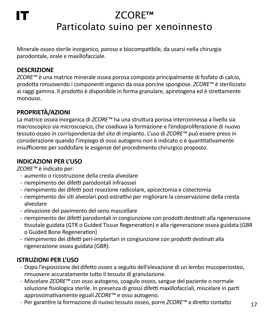# IT

# ZCORE™ Particolato suino per xenoinnesto

Minerale osseo sterile inorganico, poroso e biocompatibile, da usarsi nella chirurgia parodontale, orale e maxillofacciale.

#### **DESCRIZIONE**

*ZCORE™* è una matrice minerale ossea porosa composta principalmente di fosfato di calcio, prodotta rimuovendo i componenti organici da ossa porcine spongiose. *ZCORE™* è sterilizzato ai raggi gamma. Il prodotto è disponibile in forma granulare, apiretogena ed è strettamente monouso.

# **PROPRIETÀ/AZIONI**

La matrice ossea inorganica di *ZCORE™* ha una struttura porosa interconnessa a livello sia macroscopico sia microscopico, che coadiuva la formazione e l'endoproliferazione di nuovo tessuto osseo in corrispondenza del sito di impianto. L'uso di *ZCORE™* può essere preso in considerazione quando l'impiego di osso autogeno non è indicato o è quantitativamente insufficiente per soddisfare le esigenze del procedimento chirurgico proposto.

# **INDICAZIONI PER L'USO**

*ZCORE™* è indicato per:

- aumento o ricostruzione della cresta alveolare
- riempimento dei difetti parodontali infraossei
- riempimento dei difetti post resezione radicolare, apicectomia e cistectomia
- riempimento dei siti alveolari post-estrattivi per migliorare la conservazione della cresta alveolare
- elevazione del pavimento del seno mascellare
- riempimento dei difetti parodontali in congiunzione con prodotti destinati alla rigenerazione tissutale guidata (GTR o Guided Tissue Regeneration) e alla rigenerazione ossea guidata (GBR o Guided Bone Regeneration)
- riempimento dei difetti peri-implantari in congiunzione con prodotti destinati alla rigenerazione ossea guidata (GBR).

# **ISTRUZIONI PER L'USO**

- Dopo l'esposizione del difetto osseo a seguito dell'elevazione di un lembo mucoperiosteo, rimuovere accuratamente tutto il tessuto di granulazione.
- Miscelare *ZCORE™* con osso autogeno, coagulo osseo, sangue del paziente o normale soluzione fisiologica sterile. In presenza di grossi difetti maxillofacciali, miscelare in parti approssimativamente eguali *ZCORE™* e osso autogeno.
- Per garantire la formazione di nuovo tessuto osseo, porre *ZCORE™* a diretto contatto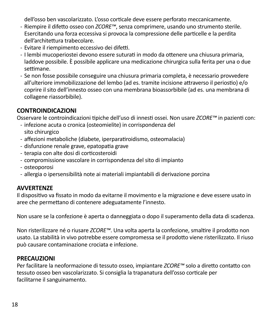dell'osso ben vascolarizzato. L'osso corticale deve essere perforato meccanicamente.

- Riempire il difetto osseo con *ZCORE™*, senza comprimere, usando uno strumento sterile. Esercitando una forza eccessiva si provoca la compressione delle particelle e la perdita dell'architettura trabecolare.
- Evitare il riempimento eccessivo dei difetti.
- I lembi mucoperiostei devono essere suturati in modo da ottenere una chiusura primaria, laddove possibile. È possibile applicare una medicazione chirurgica sulla ferita per una o due settimane.
- Se non fosse possibile conseguire una chiusura primaria completa, è necessario provvedere all'ulteriore immobilizzazione del lembo (ad es. tramite incisione attraverso il periostio) e/o coprire il sito dell'innesto osseo con una membrana bioassorbibile (ad es. una membrana di collagene riassorbibile).

# **CONTROINDICAZIONI**

Osservare le controindicazioni tipiche dell'uso di innesti ossei. Non usare *ZCORE™* in pazienti con:

- infezione acuta o cronica (osteomielite) in corrispondenza del sito chirurgico
- affezioni metaboliche (diabete, iperparatiroidismo, osteomalacia)
- disfunzione renale grave, epatopatia grave
- terapia con alte dosi di corticosteroidi
- compromissione vascolare in corrispondenza del sito di impianto
- osteoporosi
- allergia o ipersensibilità note ai materiali impiantabili di derivazione porcina

# **AVVERTENZE**

Il dispositivo va fissato in modo da evitarne il movimento e la migrazione e deve essere usato in aree che permettano di contenere adeguatamente l'innesto.

Non usare se la confezione è aperta o danneggiata o dopo il superamento della data di scadenza.

Non risterilizzare né o riusare *ZCORE™*. Una volta aperta la confezione, smaltire il prodotto non usato. La stabilità in vivo potrebbe essere compromessa se il prodotto viene risterilizzato. Il riuso può causare contaminazione crociata e infezione.

#### **PRECAUZIONI**

Per facilitare la neoformazione di tessuto osseo, impiantare *ZCORE™* solo a diretto contatto con tessuto osseo ben vascolarizzato. Si consiglia la trapanatura dell'osso corticale per facilitarne il sanguinamento.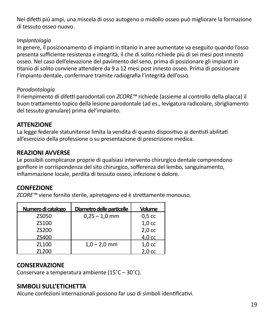Nei difetti più ampi, una miscela di osso autogeno o midollo osseo può migliorare la formazione di tessuto osseo nuovo.

#### *Implantologia*

In genere, il posizionamento di impianti in titanio in aree aumentate va eseguito quando l'osso presenta sufficiente resistenza e integrità, il che di solito richiede più di sei mesi post innesto osseo. Nel caso dell'elevazione del pavimento del seno, prima di posizionare gli impianti in titanio di solito conviene attendere da 9 a 12 mesi post innesto osseo. Prima di posizionare l'impianto dentale, confermare tramite radiografia l'integrità dell'osso.

#### *Parodontologia*

Il riempimento di difetti parodontali con *ZCORE™* richiede (assieme al controllo della placca) il buon trattamento topico della lesione parodontale (ad es., levigatura radicolare, sbrigliamento del tessuto granulare) prima del'impianto.

# **ATTENZIONE**

La legge federale statunitense limita la vendita di questo dispositivo ai dentisti abilitati all'esercizio della professione o su presentazione di prescrizione medica.

#### **REAZIONI AVVERSE**

Le possibili complicanze proprie di qualsiasi intervento chirurgico dentale comprendono gonfiore in corrispondenza del sito chirurgico, sofferenza del lembo, sanguinamento, infiammazione locale, perdita di tessuto osseo, infezione o dolore.

# **CONFEZIONE**

*ZCORE™* viene fornito sterile, apiretogeno ed è strettamente monouso.

| Numero di catalogo | Diametro delle particelle | Volume            |
|--------------------|---------------------------|-------------------|
| <b>7S050</b>       | $0.25 - 1.0$ mm           | 0.5 <sub>cc</sub> |
| 75100              |                           | 1.0 <sub>cc</sub> |
| 75200              |                           | 2.0 <sub>cc</sub> |
| ZS400              |                           | 4.0 cc            |
| 71100              | $1,0 - 2,0$ mm            | 1.0 <sub>cc</sub> |
| ZL200              |                           | 2.0 <sub>cc</sub> |

#### **CONSERVAZIONE**

Conservare a temperatura ambiente (15˚C – 30˚C).

# **SIMBOLI SULL'ETICHETTA**

Alcune confezioni internazionali possono far uso di simboli identificativi.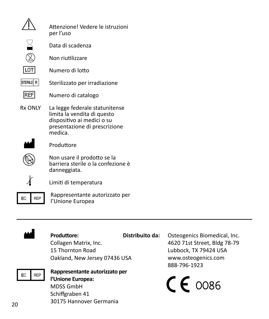|            | Attenzionel Vedere le istruzioni<br>per l'uso                                                                                           |
|------------|-----------------------------------------------------------------------------------------------------------------------------------------|
|            | Data di scadenza                                                                                                                        |
|            | Non riutilizzare                                                                                                                        |
| 1 OT       | Numero di lotto                                                                                                                         |
| STERILE R  | Sterilizzato per irradiazione                                                                                                           |
| <b>REF</b> | Numero di catalogo                                                                                                                      |
| Rx ONIY    | La legge federale statunitense<br>limita la vendita di questo<br>dispositivo ai medici o su<br>presentazione di prescrizione<br>medica. |
|            | Produttore                                                                                                                              |
|            | Non usare il prodotto se la<br>barriera sterile o la confezione è<br>danneggiata.                                                       |
|            |                                                                                                                                         |



**PRAPP** Rappresentante autorizzato per l'Unione Europea



#### Produttore:

**Distribuito da:** Osteogenics Biomedical, Inc.

Collagen Matrix, Inc. 15 Thornton Road Oakland, New Jersey 07436 USA 4620 71st Street, Bldg 78-79

Lubbock, TX 79424 USA www.osteogenics.com 888-796-1923

# P**Rappresentante autorizzato per l'Unione Europea:**

MDSS GmbH Schiffgraben 41 30175 Hannover Germania  $c \epsilon$   $\cos \epsilon$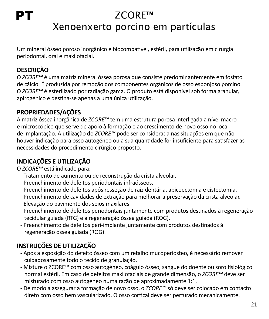# PT

# ZCORE™ Xenoenxerto porcino em partículas

Um mineral ósseo poroso inorgânico e biocompatível, estéril, para utilização em cirurgia periodontal, oral e maxilofacial.

# **DESCRIÇÃO**

O *ZCORE™* é uma matriz mineral óssea porosa que consiste predominantemente em fosfato de cálcio. É produzida por remoção dos componentes orgânicos de osso esponjoso porcino. O *ZCORE™* é esterilizado por radiação gama. O produto está disponível sob forma granular, apirogénico e destina-se apenas a uma única utilização.

# **PROPRIEDADES/AÇÕES**

A matriz óssea inorgânica de *ZCORE™* tem uma estrutura porosa interligada a nível macro e microscópico que serve de apoio à formação e ao crescimento de novo osso no local de implantação. A utilização do *ZCORE™* pode ser considerada nas situações em que não houver indicação para osso autogéneo ou a sua quantidade for insuficiente para satisfazer as necessidades do procedimento cirúrgico proposto.

# **INDICAÇÕES E UTILIZAÇÃO**

O *ZCORE™* está indicado para:

- Tratamento de aumento ou de reconstrução da crista alveolar.
- Preenchimento de defeitos periodontais infraósseos.
- Preenchimento de defeitos após resseção de raiz dentária, apicoectomia e cistectomia.
- Preenchimento de cavidades de extração para melhorar a preservação da crista alveolar.
- Elevação do pavimento dos seios maxilares.
- Preenchimento de defeitos periodontais juntamente com produtos destinados à regeneração tecidular guiada (RTG) e à regeneração óssea guiada (ROG).
- Preenchimento de defeitos peri-implante juntamente com produtos destinados à regeneração óssea guiada (ROG).

# **INSTRUÇÕES DE UTILIZAÇÃO**

- Após a exposição do defeito ósseo com um retalho mucoperiósteo, é necessário remover cuidadosamente todo o tecido de granulação.
- Misture o ZCORE™ com osso autogéneo, coágulo ósseo, sangue do doente ou soro fisiológico normal estéril. Em caso de defeitos maxilofaciais de grande dimensão, o *ZCORE™* deve ser misturado com osso autogéneo numa razão de aproximadamente 1:1.
- De modo a assegurar a formação de novo osso, o *ZCORE™* só deve ser colocado em contacto direto com osso bem vascularizado. O osso cortical deve ser perfurado mecanicamente.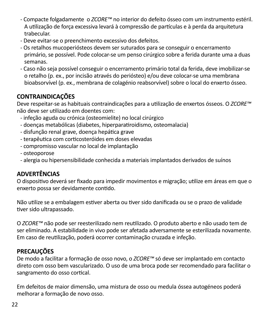- Compacte folgadamente o *ZCORE™* no interior do defeito ósseo com um instrumento estéril. A utilização de força excessiva levará à compressão de partículas e à perda da arquitetura trabecular.
- Deve evitar-se o preenchimento excessivo dos defeitos.
- Os retalhos mucoperiósteos devem ser suturados para se conseguir o encerramento primário, se possível. Pode colocar-se um penso cirúrgico sobre a ferida durante uma a duas semanas.
- Caso não seja possível conseguir o encerramento primário total da ferida, deve imobilizar-se o retalho (p. ex., por incisão através do periósteo) e/ou deve colocar-se uma membrana bioabsorvível (p. ex., membrana de colagénio reabsorvível) sobre o local do enxerto ósseo.

# **CONTRAINDICAÇÕES**

Deve respeitar-se as habituais contraindicações para a utilização de enxertos ósseos. O *ZCORE™* não deve ser utilizado em doentes com:

- infeção aguda ou crónica (osteomielite) no local cirúrgico
- doenças metabólicas (diabetes, hiperparatiroidismo, osteomalacia)
- disfunção renal grave, doença hepática grave
- terapêutica com corticosteróides em doses elevadas
- compromisso vascular no local de implantação
- osteoporose
- alergia ou hipersensibilidade conhecida a materiais implantados derivados de suínos

# **ADVERTÊNCIAS**

O dispositivo deverá ser fixado para impedir movimentos e migração; utilize em áreas em que o enxerto possa ser devidamente contido.

Não utilize se a embalagem estiver aberta ou tiver sido danificada ou se o prazo de validade tiver sido ultrapassado.

O *ZCORE™* não pode ser reesterilizado nem reutilizado. O produto aberto e não usado tem de ser eliminado. A estabilidade in vivo pode ser afetada adversamente se esterilizada novamente. Em caso de reutilização, poderá ocorrer contaminação cruzada e infeção.

# **PRECAUÇÕES**

De modo a facilitar a formação de osso novo, o *ZCORE™* só deve ser implantado em contacto direto com osso bem vascularizado. O uso de uma broca pode ser recomendado para facilitar o sangramento do osso cortical.

Em defeitos de maior dimensão, uma mistura de osso ou medula óssea autogéneos poderá melhorar a formação de novo osso.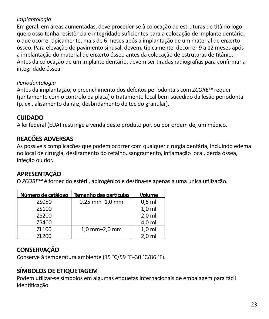#### *Implantologia*

Em geral, em áreas aumentadas, deve proceder-se à colocação de estruturas de titânio logo que o osso tenha resistência e integridade suficientes para a colocação de implante dentário, o que ocorre, tipicamente, mais de 6 meses após a implantação de um material de enxerto ósseo. Para elevação do pavimento sinusal, devem, tipicamente, decorrer 9 a 12 meses após a implantação do material de enxerto ósseo antes da colocação de estruturas de titânio. Antes da colocação de um implante dentário, devem ser tiradas radiografias para confirmar a integridade óssea.

#### *Periodontologia*

Antes da implantação, o preenchimento dos defeitos periodontais com *ZCORE™* requer (juntamente com o controlo da placa) o tratamento local bem-sucedido da lesão periodontal (p. ex., alisamento da raiz, desbridamento de tecido granular).

# **CUIDADO**

A lei federal (EUA) restringe a venda deste produto por, ou por ordem de, um médico.

# **REAÇÕES ADVERSAS**

As possíveis complicações que podem ocorrer com qualquer cirurgia dentária, incluindo edema no local de cirurgia, deslizamento do retalho, sangramento, inflamação local, perda óssea, infeção ou dor.

# **APRESENTAÇÃO**

O *ZCORE™* é fornecido estéril, apirogénico e destina-se apenas a uma única utilização.

| Número de catálogo | Tamanho das partículas | Volume           |
|--------------------|------------------------|------------------|
| <b>7S050</b>       | $0.25$ mm $-1.0$ mm    | $0.5$ ml         |
| 75100              |                        | 1.0 <sub>m</sub> |
| 75200              |                        | $2.0$ ml         |
| ZS400              |                        | 4.0 ml           |
| ZL100              | 1,0 mm-2,0 mm          | 1.0 <sub>m</sub> |
| ZL200              |                        | 2.0 <sub>m</sub> |

# **CONSERVAÇÃO**

Conserve à temperatura ambiente (15 ˚C/59 ˚F–30 ˚C/86 ˚F).

# **SÍMBOLOS DE ETIQUETAGEM**

Podem utilizar-se símbolos em algumas etiquetas internacionais de embalagem para fácil identificação.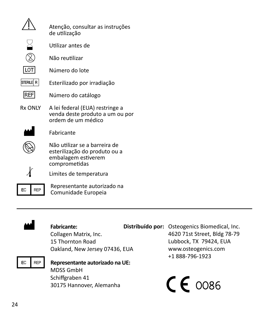|                | Atenção, consultar as instruções<br>de utilização                                                      |
|----------------|--------------------------------------------------------------------------------------------------------|
|                | Utilizar antes de                                                                                      |
|                | Não reutilizar                                                                                         |
| Ιιοτ           | Número do lote                                                                                         |
| STERILE R      | Esterilizado por irradiação                                                                            |
| <b>REF</b>     | Número do catálogo                                                                                     |
| <b>Rx ONIY</b> | A lei federal (EUA) restringe a<br>venda deste produto a um ou por<br>ordem de um médico               |
|                | Fabricante                                                                                             |
|                | Não utilizar se a barreira de<br>esterilização do produto ou a<br>embalagem estiverem<br>comprometidas |
|                | Limites de temperatura                                                                                 |
| REP<br>FC.     | Representante autorizado na<br>Comunidade Europeia                                                     |



#### Fabricante:

Collagen Matrix, Inc. 15 Thornton Road Oakland, New Jersey 07436, EUA

P**Representante autorizado na UE:** MDSS GmbH Schiffgraben 41 30175 Hannover, Alemanha

**Distribuído por:** Osteogenics Biomedical, Inc. 4620 71st Street, Bldg 78-79 Lubbock, TX 79424, EUA www.osteogenics.com +1 888-796-1923

 $c \epsilon$   $\cos \epsilon$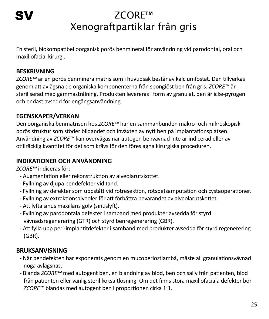# ZCORE™ Xenograftpartiklar från gris

En steril, biokompatibel oorganisk porös benmineral för användning vid parodontal, oral och maxillofacial kirurgi.

# **BESKRIVNING**

*ZCORE™* är en porös benmineralmatris som i huvudsak består av kalciumfostat. Den tillverkas genom att avlägsna de organiska komponenterna från spongiöst ben från gris. *ZCORE™* är steriliserad med gammastrålning. Produkten levereras i form av granulat, den är icke-pyrogen och endast avsedd för engångsanvändning.

# **EGENSKAPER/VERKAN**

Den oorganiska benmatrisen hos *ZCORE™* har en sammanbunden makro- och mikroskopisk porös struktur som stöder bildandet och inväxten av nytt ben på implantationsplatsen. Användning av *ZCORE™* kan övervägas när autogen benvävnad inte är indicerad eller av otillräcklig kvantitet för det som krävs för den föreslagna kirurgiska proceduren.

# **INDIKATIONER OCH ANVÄNDNING**

*ZCORE™* indiceras för:

- Augmentation eller rekonstruktion av alveolarutskottet.
- Fyllning av djupa bendefekter vid tand.
- Fyllning av defekter som uppstått vid rotresektion, rotspetsamputation och cystaoperationer.
- Fyllning av extraktionsalveoler för att förbättra bevarandet av alveolarutskottet.
- Att lyfta sinus maxillaris golv (sinuslyft).
- Fyllning av parodontala defekter i samband med produkter avsedda för styrd vävnadsregenerering (GTR) och styrd benregenerering (GBR).
- Att fylla upp peri-implantitdefekter i samband med produkter avsedda för styrd regenerering (GBR).

# **BRUKSANVISNING**

- När bendefekten har exponerats genom en mucoperiostlambå, måste all granulationsvävnad noga avlägsnas.
- Blanda *ZCORE™* med autogent ben, en blandning av blod, ben och saliv från patienten, blod från patienten eller vanlig steril koksaltlösning. Om det finns stora maxillofaciala defekter bör *ZCORE™* blandas med autogent ben i proportionen cirka 1:1.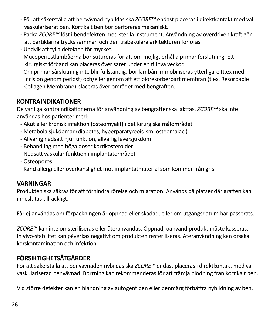- För att säkerställa att benvävnad nybildas ska *ZCORE™* endast placeras i direktkontakt med väl vaskulariserat ben. Kortikalt ben bör perforeras mekaniskt.
- Packa *ZCORE™* löst i bendefekten med sterila instrument. Användning av överdriven kraft gör att partiklarna trycks samman och den trabekulära arkitekturen förloras.
- Undvik att fylla defekten för mycket.
- Mucoperiostlambåerna bör sutureras för att om möjligt erhålla primär förslutning. Ett kirurgiskt förband kan placeras över såret under en till två veckor.
- Om primär sårslutning inte blir fullständig, bör lambån immobiliseras ytterligare (t.ex med incision genom periost) och/eller genom att ett bioresorberbart membran (t.ex. Resorbable Collagen Membrane) placeras över området med bengraften.

#### **KONTRAINDIKATIONER**

De vanliga kontraindikationerna för användning av bengrafter ska iakttas. *ZCORE™* ska inte användas hos patienter med:

- Akut eller kronisk infektion (osteomyelit) i det kirurgiska målområdet
- Metabola sjukdomar (diabetes, hyperparatyreoidism, osteomalaci)
- Allvarlig nedsatt njurfunktion, allvarlig leversjukdom
- Behandling med höga doser kortikosteroider
- Nedsatt vaskulär funktion i implantatområdet
- Osteoporos
- Känd allergi eller överkänslighet mot implantatmaterial som kommer från gris

# **VARNINGAR**

Produkten ska säkras för att förhindra rörelse och migration. Används på platser där graften kan inneslutas tillräckligt.

Får ej användas om förpackningen är öppnad eller skadad, eller om utgångsdatum har passerats.

*ZCORE™* kan inte omsteriliseras eller återanvändas. Öppnad, oanvänd produkt måste kasseras. In vivo-stabilitet kan påverkas negativt om produkten resteriliseras. Återanvändning kan orsaka korskontamination och infektion.

# **FÖRSIKTIGHETSÅTGÄRDER**

För att säkerställa att benvävnaden nybildas ska *ZCORE™* endast placeras i direktkontakt med väl vaskulariserad benvävnad. Borrning kan rekommenderas för att främja blödning från kortikalt ben.

Vid större defekter kan en blandning av autogent ben eller benmärg förbättra nybildning av ben.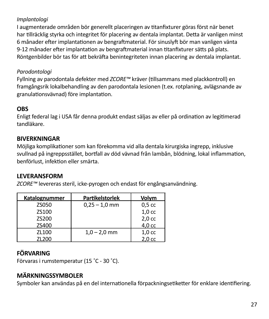#### *Implantologi*

I augmenterade områden bör generellt placeringen av titanfixturer göras först när benet har tillräcklig styrka och integritet för placering av dentala implantat. Detta är vanligen minst 6 månader efter implantationen av bengraftmaterial. För sinuslyft bör man vanligen vänta 9-12 månader efter implantation av bengraftmaterial innan titanfixturer sätts på plats. Röntgenbilder bör tas för att bekräfta benintegriteten innan placering av dentala implantat.

#### *Parodontologi*

Fyllning av parodontala defekter med *ZCORE™* kräver (tillsammans med plackkontroll) en framgångsrik lokalbehandling av den parodontala lesionen (t.ex. rotplaning, avlägsnande av granulationsvävnad) före implantation.

# **OBS**

Enligt federal lag i USA får denna produkt endast säljas av eller på ordination av legitimerad tandläkare.

#### **BIVERKNINGAR**

Möjliga komplikationer som kan förekomma vid alla dentala kirurgiska ingrepp, inklusive svullnad på ingreppsstället, bortfall av död vävnad från lambån, blödning, lokal inflammation, benförlust, infektion eller smärta.

#### **LEVERANSFORM**

*ZCORE™* levereras steril, icke-pyrogen och endast för engångsanvändning.

| Katalognummer | Partikelstorlek | Volvm             |
|---------------|-----------------|-------------------|
| <b>7S050</b>  | $0.25 - 1.0$ mm | 0.5 <sub>cc</sub> |
| 75100         |                 | 1.0 <sub>cc</sub> |
| 75200         |                 | 2.0 <sub>cc</sub> |
| ZS400         |                 | 4.0 cc            |
| 71100         | $1.0 - 2.0$ mm  | 1.0 <sub>cc</sub> |
| ZL200         |                 | 2.0 <sub>cc</sub> |

# **FÖRVARING**

Förvaras i rumstemperatur (15 ˚C - 30 ˚C).

# **MÄRKNINGSSYMBOLER**

Symboler kan användas på en del internationella förpackningsetiketter för enklare identifiering.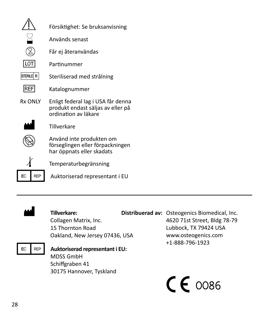|                | Försiktighet: Se bruksanvisning                                                                 |
|----------------|-------------------------------------------------------------------------------------------------|
|                | Används senast                                                                                  |
|                | Får ej återanvändas                                                                             |
| LOT            | Partinummer                                                                                     |
| STERILE R      | Steriliserad med strålning                                                                      |
| REF            | Katalognummer                                                                                   |
| <b>Rx ONIY</b> | Enligt federal lag i USA får denna<br>produkt endast säljas av eller på<br>ordination av läkare |
|                | Tillverkare                                                                                     |
|                | Använd inte produkten om<br>förseglingen eller förpackningen<br>har öppnats eller skadats       |
|                | Temperaturbegränsning                                                                           |
| EC<br>RFP      | Auktoriserad representant i EU                                                                  |



# M **Tillverkare:**

Collagen Matrix, Inc. 15 Thornton Road Oakland, New Jersey 07436, USA

# **Distribuerad av:** Osteogenics Biomedical, Inc. 4620 71st Street, Bldg 78-79 Lubbock, TX 79424 USA www.osteogenics.com +1-888-796-1923

# P**Auktoriserad representanti EU:** MDSS GmbH Schiffgraben 41 30175 Hannover, Tyskland

 $c \epsilon$   $\cos \epsilon$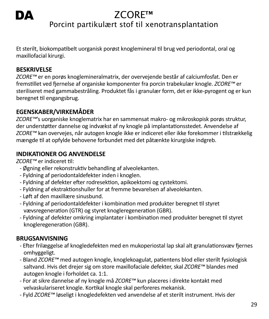# DA

# ZCORE™

# Porcint partikulært stof til xenotransplantation

Et sterilt, biokompatibelt uorganisk porøst knoglemineral til brug ved periodontal, oral og maxillofacial kirurgi.

#### **BESKRIVELSE**

*ZCORE™* er en porøs knoglemineralmatrix, der overvejende består af calciumfosfat. Den er fremstillet ved fjernelse af organiske komponenter fra porcin trabekulær knogle. *ZCORE™* er steriliseret med gammabestråling. Produktet fås i granulær form, det er ikke-pyrogent og er kun beregnet til engangsbrug.

# **EGENSKABER/VIRKEMÅDER**

*ZCORE™*'s uorganiske knoglematrix har en sammensat makro- og mikroskopisk porøs struktur, der understøtter dannelse og indvækst af ny knogle på implantationsstedet. Anvendelse af *ZCORE™* kan overvejes, når autogen knogle ikke er indiceret eller ikke forekommer i tilstrækkelig mængde til at opfylde behovene forbundet med det påtænkte kirurgiske indgreb.

# **INDIKATIONER OG ANVENDELSE**

*ZCORE™* er indiceret til:

- Øgning eller rekonstruktiv behandling af alveolekanten.
- Fyldning af periodontaldefekter inden i knoglen.
- Fyldning af defekter efter rodresektion, apikoektomi og cystektomi.
- Fyldning af ekstraktionshuller for at fremme bevarelsen af alveolekanten.
- Løft af den maxillære sinusbund.
- Fyldning af periodontaldefekter i kombination med produkter beregnet til styret vævsregeneration (GTR) og styret knogleregeneration (GBR).
- Fyldning af defekter omkring implantater i kombination med produkter beregnet til styret knogleregeneration (GBR).

# **BRUGSANVISNING**

- Efter frilæggelse af knogledefekten med en mukoperiostal lap skal alt granulationsvæv fjernes omhyggeligt.
- Bland *ZCORE™* med autogen knogle, knoglekoagulat, patientens blod eller sterilt fysiologisk saltvand. Hvis det drejer sig om store maxillofaciale defekter, skal *ZCORE™* blandes med autogen knogle i forholdet ca. 1:1.
- For at sikre dannelse af ny knogle må *ZCORE™* kun placeres i direkte kontakt med velvaskulariseret knogle. Kortikal knogle skal perforeres mekanisk.
- Fyld *ZCORE™* løseligt i knogledefekten ved anvendelse af et sterilt instrument. Hvis der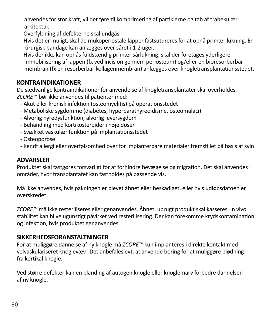anvendes for stor kraft, vil det føre til komprimering af partiklerne og tab af trabekulær arkitektur.

- Overfyldning af defekterne skal undgås.
- Hvis det er muligt, skal de mukoperiostale lapper fastsutureres for at opnå primær lukning. En kirurgisk bandage kan anlægges over såret i 1-2 uger.
- Hvis der ikke kan opnås fuldstændig primær sårlukning, skal der foretages yderligere immobilisering af lappen (fx ved incision gennem periosteum) og/eller en bioresorberbar membran (fx en resorberbar kollagenmembran) anlægges over knogletransplantationsstedet.

#### **KONTRAINDIKATIONER**

De sædvanlige kontraindikationer for anvendelse af knogletransplantater skal overholdes. *ZCORE™* bør ikke anvendes til patienter med:

- Akut eller kronisk infektion (osteomyelitis) på operationsstedet
- Metaboliske sygdomme (diabetes, hyperparathyreoidisme, osteomalaci)
- Alvorlig nyredysfunktion, alvorlig leversygdom
- Behandling med kortikosteroider i høje doser
- Svækket vaskulær funktion på implantationsstedet
- Osteoporose
- Kendt allergi eller overfølsomhed over for implanterbare materialer fremstillet på basis af svin

#### **ADVARSLER**

Produktet skal fastgøres forsvarligt for at forhindre bevægelse og migration. Det skal anvendes i områder, hvor transplantatet kan fastholdes på passende vis.

Må ikke anvendes, hvis pakningen er blevet åbnet eller beskadiget, eller hvis udløbsdatoen er overskredet.

*ZCORE™* må ikke resteriliseres eller genanvendes. Åbnet, ubrugt produkt skal kasseres. In vivo stabilitet kan blive ugunstigt påvirket ved resterilisering. Der kan forekomme krydskontamination og infektion, hvis produktet genanvendes.

#### **SIKKERHEDSFORANSTALTNINGER**

For at muliggøre dannelse af ny knogle må *ZCORE™* kun implanteres i direkte kontakt med velvaskulariseret knoglevæv. Det anbefales evt. at anvende boring for at muliggøre blødning fra kortikal knogle.

Ved større defekter kan en blanding af autogen knogle eller knoglemarv forbedre dannelsen af ny knogle.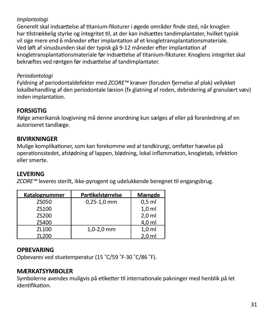#### *Implantologi*

Generelt skal indsættelse af titanium-fiksturer i øgede områder finde sted, når knoglen har tilstrækkelig styrke og integritet til, at der kan indsættes tandimplantater, hvilket typisk vil sige mere end 6 måneder efter implantation af et knogletransplantationsmateriale. Ved løft af sinusbunden skal der typisk gå 9-12 måneder efter implantation af knogletransplantationsmateriale før indsættelse af titanium-fiksturer. Knoglens integritet skal bekræftes ved røntgen før indsættelse af tandimplantater.

#### *Periodontologi*

Fyldning af periodontaldefekter med *ZCORE™* kræver (foruden fjernelse af plak) vellykket lokalbehandling af den periodontale læsion (fx glatning af roden, debridering af granulært væv) inden implantation.

# **FORSIGTIG**

Ifølge amerikansk lovgivning må denne anordning kun sælges af eller på foranledning af en autoriseret tandlæge.

# **BIVIRKNINGER**

Mulige komplikationer, som kan forekomme ved al tandkirurgi, omfatter hævelse på operationsstedet, afstødning af lappen, blødning, lokal inflammation, knogletab, infektion eller smerte.

#### **LEVERING**

*ZCORE™* leveres sterilt, ikke-pyrogent og udelukkende beregnet til engangsbrug.

| Katalognummer | Partikelstørrelse | Mængde           |
|---------------|-------------------|------------------|
| <b>7S050</b>  | $0,25-1,0$ mm     | $0.5$ ml         |
| 75100         |                   | 1.0 <sub>m</sub> |
| 75200         |                   | 2.0 <sub>m</sub> |
| ZS400         |                   | 4.0 ml           |
| 71100         | $1.0 - 2.0$ mm    | 1.0 <sub>m</sub> |
| ZL200         |                   | 2.0 <sub>m</sub> |

#### **OPBEVARING**

Opbevares ved stuetemperatur (15 ˚C/59 ˚F-30 ˚C/86 ˚F).

# **MÆRKATSYMBOLER**

Symbolerne avendes muligvis på etiketter til internationale pakninger med henblik på let identifikation.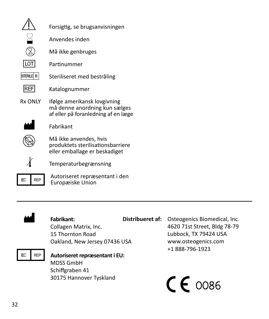|                | Forsigtig, se brugsanvisningen                                                                       |
|----------------|------------------------------------------------------------------------------------------------------|
|                | Anvendes inden                                                                                       |
|                | Må ikke genbruges                                                                                    |
| 10             | Partinummer                                                                                          |
| <b>STERILE</b> | Steriliseret med bestråling                                                                          |
| <b>REF</b>     | Katalognummer                                                                                        |
| Rx ONIY        | Ifølge amerikansk lovgivning<br>må denne anordning kun sælges<br>af eller på foranledning af en læge |
|                | Fabrikant                                                                                            |
|                | Må ikke anvendes, hvis<br>produktets sterilisationsbarriere<br>eller emballage er beskadiget         |
|                | Temperaturbegrænsning                                                                                |
|                | Autoriseret repræsentant i den<br>Europæiske Union                                                   |



# Fabrikant:

Collagen Matrix, Inc. 15 Thornton Road Oakland, New Jersey 07436 USA

**FC Autoriseret repræsentant i EU:** MDSS GmbH Schiffgraben 41 30175 Hannover Tyskland

**Distribueret af:** Osteogenics Biomedical, Inc. 4620 71st Street, Bldg 78-79 Lubbock, TX 79424 USA www.osteogenics.com +1 888-796-1923

 $c \epsilon$   $\cos \epsilon$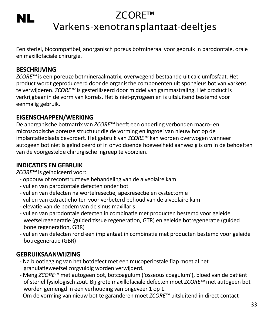# ZCORE™ Varkens-xenotransplantaat-deeltjes

Een steriel, biocompatibel, anorganisch poreus botmineraal voor gebruik in parodontale, orale en maxillofaciale chirurgie.

#### **BESCHRIJVING**

NL

*ZCORE™* is een poreuze botmineraalmatrix, overwegend bestaande uit calciumfosfaat. Het product wordt geproduceerd door de organische componenten uit spongieus bot van varkens te verwijderen. *ZCORE™* is gesteriliseerd door middel van gammastraling. Het product is verkrijgbaar in de vorm van korrels. Het is niet-pyrogeen en is uitsluitend bestemd voor eenmalig gebruik.

# **EIGENSCHAPPEN/WERKING**

De anorganische botmatrix van *ZCORE™* heeft een onderling verbonden macro- en microscopische poreuze structuur die de vorming en ingroei van nieuw bot op de implantatieplaats bevordert. Het gebruik van *ZCORE™* kan worden overwogen wanneer autogeen bot niet is geïndiceerd of in onvoldoende hoeveelheid aanwezig is om in de behoeften van de voorgestelde chirurgische ingreep te voorzien.

# **INDICATIES EN GEBRUIK**

*ZCORE™* is geïndiceerd voor:

- opbouw of reconstructieve behandeling van de alveolaire kam
- vullen van parodontale defecten onder bot
- vullen van defecten na wortelresectie, apexresectie en cystectomie
- vullen van extractieholten voor verbeterd behoud van de alveolaire kam
- elevatie van de bodem van de sinus maxillaris
- vullen van parodontale defecten in combinatie met producten bestemd voor geleide weefselregeneratie (guided tissue regeneration, GTR) en geleide botregeneratie (guided bone regeneration, GBR)
- vullen van defecten rond een implantaat in combinatie met producten bestemd voor geleide botregeneratie (GBR)

# **GEBRUIKSAANWIJZING**

- Na blootlegging van het botdefect met een mucoperiostale flap moet al het granulatieweefsel zorgvuldig worden verwijderd.
- Meng *ZCORE™* met autogeen bot, botcoagulum ('osseous coagulum'), bloed van de patiënt of steriel fysiologisch zout. Bij grote maxillofaciale defecten moet *ZCORE™* met autogeen bot worden gemengd in een verhouding van ongeveer 1 op 1.
- Om de vorming van nieuw bot te garanderen moet *ZCORE™* uitsluitend in direct contact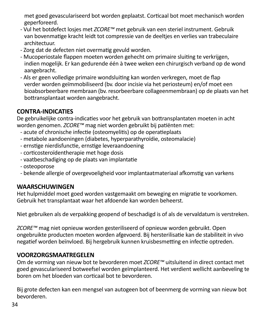met goed gevasculariseerd bot worden geplaatst. Corticaal bot moet mechanisch worden geperforeerd.

- Vul het botdefect losjes met *ZCORE™* met gebruik van een steriel instrument. Gebruik van bovenmatige kracht leidt tot compressie van de deeltjes en verlies van trabeculaire architectuur.
- Zorg dat de defecten niet overmatig gevuld worden.
- Mucoperiostale flappen moeten worden gehecht om primaire sluiting te verkrijgen, indien mogelijk. Er kan gedurende één à twee weken een chirurgisch verband op de wond aangebracht.
- Als er geen volledige primaire wondsluiting kan worden verkregen, moet de flap verder worden geïmmobiliseerd (bv. door incisie via het periosteum) en/of moet een bioabsorbeerbare membraan (bv. resorbeerbare collageenmembraan) op de plaats van het bottransplantaat worden aangebracht.

# **CONTRA-INDICATIES**

De gebruikelijke contra-indicaties voor het gebruik van bottransplantaten moeten in acht worden genomen. *ZCORE™* mag niet worden gebruikt bij patiënten met:

- acute of chronische infectie (osteomyelitis) op de operatieplaats
- metabole aandoeningen (diabetes, hyperparathyroïdie, osteomalacie)
- ernstige nierdisfunctie, ernstige leveraandoening
- corticosteroïdentherapie met hoge dosis
- vaatbeschadiging op de plaats van implantatie
- osteoporose
- bekende allergie of overgevoeligheid voor implantaatmateriaal afkomstig van varkens

# **WAARSCHUWINGEN**

Het hulpmiddel moet goed worden vastgemaakt om beweging en migratie te voorkomen. Gebruik het transplantaat waar het afdoende kan worden beheerst.

Niet gebruiken als de verpakking geopend of beschadigd is of als de vervaldatum is verstreken.

*ZCORE™* mag niet opnieuw worden gesteriliseerd of opnieuw worden gebruikt. Open ongebruikte producten moeten worden afgevoerd. Bij hersterilisatie kan de stabiliteit in vivo negatief worden beïnvloed. Bij hergebruik kunnen kruisbesmetting en infectie optreden.

# **VOORZORGSMAATREGELEN**

Om de vorming van nieuw bot te bevorderen moet *ZCORE™* uitsluitend in direct contact met goed gevasculariseerd botweefsel worden geïmplanteerd. Het verdient wellicht aanbeveling te boren om het bloeden van corticaal bot te bevorderen.

Bij grote defecten kan een mengsel van autogeen bot of beenmerg de vorming van nieuw bot bevorderen.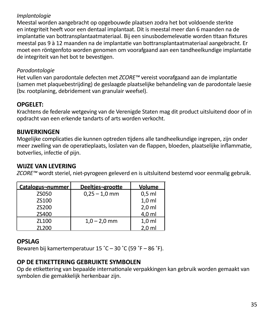#### *Implantologie*

Meestal worden aangebracht op opgebouwde plaatsen zodra het bot voldoende sterkte en integriteit heeft voor een dentaal implantaat. Dit is meestal meer dan 6 maanden na de implantatie van bottransplantaatmateriaal. Bij een sinusbodemelevatie worden titaan fixtures meestal pas 9 à 12 maanden na de implantatie van bottransplantaatmateriaal aangebracht. Er moet een röntgenfoto worden genomen om voorafgaand aan een tandheelkundige implantatie de integriteit van het bot te bevestigen.

#### *Parodontologie*

Het vullen van parodontale defecten met *ZCORE™* vereist voorafgaand aan de implantatie (samen met plaquebestrijding) de geslaagde plaatselijke behandeling van de parodontale laesie (bv. rootplaning, debridement van granulair weefsel).

# **OPGELET:**

Krachtens de federale wetgeving van de Verenigde Staten mag dit product uitsluitend door of in opdracht van een erkende tandarts of arts worden verkocht.

# **BIJWERKINGEN**

Mogelijke complicaties die kunnen optreden tijdens alle tandheelkundige ingrepen, zijn onder meer zwelling van de operatieplaats, loslaten van de flappen, bloeden, plaatselijke inflammatie, botverlies, infectie of pijn.

#### **WIJZE VAN LEVERING**

*ZCORE™* wordt steriel, niet-pyrogeen geleverd en is uitsluitend bestemd voor eenmalig gebruik.

| Catalogus-nummer | Deeltjes-grootte | Volume           |
|------------------|------------------|------------------|
| <b>7S050</b>     | $0,25 - 1,0$ mm  | $0.5$ ml         |
| 75100            |                  | 1.0 <sub>m</sub> |
| 75200            |                  | $2.0$ ml         |
| ZS400            |                  | 4.0 ml           |
| ZL100            | $1.0 - 2.0$ mm   | 1.0 <sub>m</sub> |
| ZL200            |                  | $2.0$ ml         |

# **OPSLAG**

Bewaren bij kamertemperatuur 15 ˚C – 30 ˚C (59 ˚F – 86 ˚F).

# **OP DE ETIKETTERING GEBRUIKTE SYMBOLEN**

Op de etikettering van bepaalde internationale verpakkingen kan gebruik worden gemaakt van symbolen die gemakkelijk herkenbaar zijn.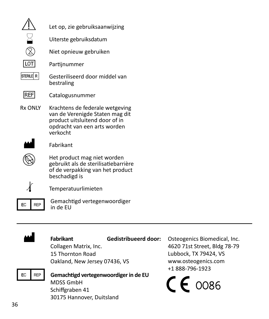|                | Let op, zie gebruiksaanwijzing                                                                                                                   |
|----------------|--------------------------------------------------------------------------------------------------------------------------------------------------|
|                | Uiterste gebruiksdatum                                                                                                                           |
|                | Niet opnieuw gebruiken                                                                                                                           |
|                | Partijnummer                                                                                                                                     |
| STERILE R      | Gesteriliseerd door middel van<br>bestraling                                                                                                     |
| <b>REF</b>     | Catalogusnummer                                                                                                                                  |
| <b>Rx ONIY</b> | Krachtens de federale wetgeving<br>van de Verenigde Staten mag dit<br>product uitsluitend door of in<br>opdracht van een arts worden<br>verkocht |
|                | Fabrikant                                                                                                                                        |
|                | Het product mag niet worden<br>gebruikt als de sterilisatiebarrière<br>of de verpakking van het product<br>beschadigd is                         |
|                | Temperatuurlimieten                                                                                                                              |
| FC             | Gemachtigd vertegenwoordiger<br>in de FU                                                                                                         |



# **Fabrikant**

Collagen Matrix, Inc. 15 Thornton Road Oakland, New Jersey 07436, VS

P**Gemachtigd vertegenwoordigerin de EU** MDSS GmbH Schiffgraben 41

30175 Hannover, Duitsland

**Gedistribueerd door:**  Osteogenics Biomedical, Inc. 4620 71st Street, Bldg 78-79 Lubbock, TX 79424, VS www.osteogenics.com +1 888-796-1923

 $C\epsilon$  0086